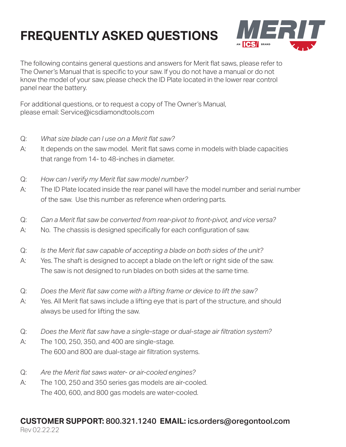# **FREQUENTLY ASKED QUESTIONS**



The following contains general questions and answers for Merit flat saws, please refer to The Owner's Manual that is specific to your saw. If you do not have a manual or do not know the model of your saw, please check the ID Plate located in the lower rear control panel near the battery.

For additional questions, or to request a copy of The Owner's Manual, please email: Service@icsdiamondtools.com

- Q: *What size blade can I use on a Merit flat saw?*
- A: It depends on the saw model. Merit flat saws come in models with blade capacities that range from 14- to 48-inches in diameter.
- Q: *How can I verify my Merit flat saw model number?*
- A: The ID Plate located inside the rear panel will have the model number and serial number of the saw. Use this number as reference when ordering parts.
- Q: *Can a Merit flat saw be converted from rear-pivot to front-pivot, and vice versa?*
- A: No. The chassis is designed specifically for each configuration of saw.
- Q: *Is the Merit flat saw capable of accepting a blade on both sides of the unit?*
- A: Yes. The shaft is designed to accept a blade on the left or right side of the saw. The saw is not designed to run blades on both sides at the same time.
- Q: *Does the Merit flat saw come with a lifting frame or device to lift the saw?*
- A: Yes. All Merit flat saws include a lifting eye that is part of the structure, and should always be used for lifting the saw.
- Q: *Does the Merit flat saw have a single-stage or dual-stage air filtration system?*
- A: The 100, 250, 350, and 400 are single-stage. The 600 and 800 are dual-stage air filtration systems.
- Q: *Are the Merit flat saws water- or air-cooled engines?*
- A: The 100, 250 and 350 series gas models are air-cooled. The 400, 600, and 800 gas models are water-cooled.

#### **CUSTOMER SUPPORT:** 800.321.1240 **EMAIL:** ics.orders@oregontool.com Rev 02.22.22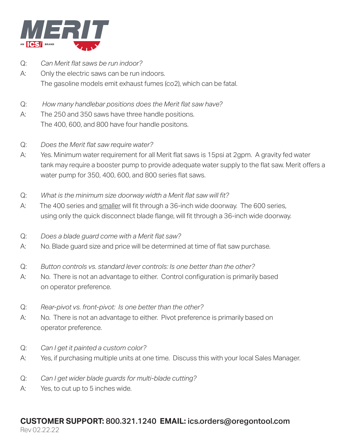

- Q: *Can Merit flat saws be run indoor?*
- A: Only the electric saws can be run indoors. The gasoline models emit exhaust fumes (co2), which can be fatal.
- Q: *How many handlebar positions does the Merit flat saw have?*
- A: The 250 and 350 saws have three handle positions. The 400, 600, and 800 have four handle positons.
- Q: *Does the Merit flat saw require water?*
- A: Yes. Minimum water requirement for all Merit flat saws is 15psi at 2gpm. A gravity fed water tank may require a booster pump to provide adequate water supply to the flat saw. Merit offers a water pump for 350, 400, 600, and 800 series flat saws.
- Q: *What is the minimum size doorway width a Merit flat saw will fit?*
- A: The 400 series and smaller will fit through a 36-inch wide doorway. The 600 series, using only the quick disconnect blade flange, will fit through a 36-inch wide doorway.
- Q: *Does a blade guard come with a Merit flat saw?*
- A: No. Blade guard size and price will be determined at time of flat saw purchase.
- Q: *Button controls vs. standard lever controls: Is one better than the other?*
- A: No. There is not an advantage to either. Control configuration is primarily based on operator preference.
- Q: *Rear-pivot vs. front-pivot: Is one better than the other?*
- A: No. There is not an advantage to either. Pivot preference is primarily based on operator preference.
- Q: *Can I get it painted a custom color?*
- A: Yes, if purchasing multiple units at one time. Discuss this with your local Sales Manager.
- Q: *Can I get wider blade guards for multi-blade cutting?*
- A: Yes, to cut up to 5 inches wide.

#### **CUSTOMER SUPPORT:** 800.321.1240 **EMAIL:** ics.orders@oregontool.com Rev 02.22.22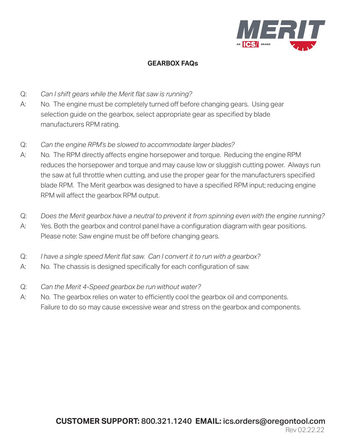

#### **GEARBOX FAQs**

- Q: *Can I shift gears while the Merit flat saw is running?*
- A: No. The engine must be completely turned off before changing gears. Using gear selection guide on the gearbox, select appropriate gear as specified by blade manufacturers RPM rating.
- Q: *Can the engine RPM's be slowed to accommodate larger blades?*
- A: No. The RPM directly affects engine horsepower and torque. Reducing the engine RPM reduces the horsepower and torque and may cause low or sluggish cutting power. Always run the saw at full throttle when cutting, and use the proper gear for the manufacturers specified blade RPM. The Merit gearbox was designed to have a specified RPM input; reducing engine RPM will affect the gearbox RPM output.
- Q: *Does the Merit gearbox have a neutral to prevent it from spinning even with the engine running?*
- A: Yes. Both the gearbox and control panel have a configuration diagram with gear positions. Please note: Saw engine must be off before changing gears.
- Q: *I have a single speed Merit flat saw. Can I convert it to run with a gearbox?*
- A: No. The chassis is designed specifically for each configuration of saw.
- Q: *Can the Merit 4-Speed gearbox be run without water?*
- A: No. The gearbox relies on water to efficiently cool the gearbox oil and components. Failure to do so may cause excessive wear and stress on the gearbox and components.